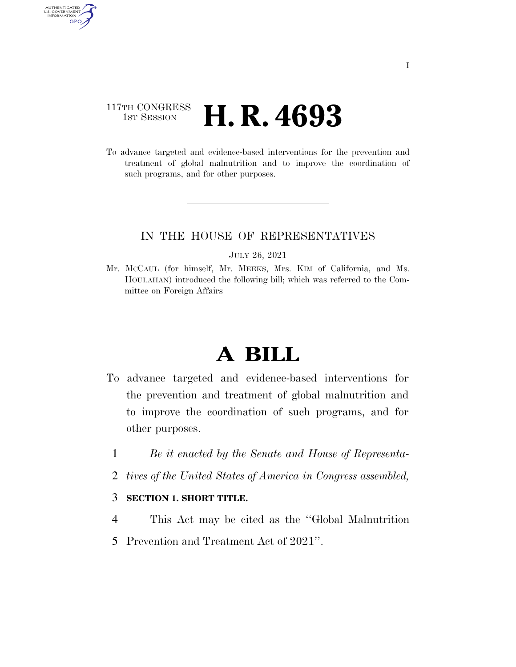### 117TH CONGRESS **1st Session H. R. 4693**

AUTHENTICATED<br>U.S. GOVERNMENT<br>INFORMATION GPO

> To advance targeted and evidence-based interventions for the prevention and treatment of global malnutrition and to improve the coordination of such programs, and for other purposes.

### IN THE HOUSE OF REPRESENTATIVES

#### JULY 26, 2021

Mr. MCCAUL (for himself, Mr. MEEKS, Mrs. KIM of California, and Ms. HOULAHAN) introduced the following bill; which was referred to the Committee on Foreign Affairs

# **A BILL**

- To advance targeted and evidence-based interventions for the prevention and treatment of global malnutrition and to improve the coordination of such programs, and for other purposes.
	- 1 *Be it enacted by the Senate and House of Representa-*
	- 2 *tives of the United States of America in Congress assembled,*

### 3 **SECTION 1. SHORT TITLE.**

- 4 This Act may be cited as the ''Global Malnutrition
- 5 Prevention and Treatment Act of 2021''.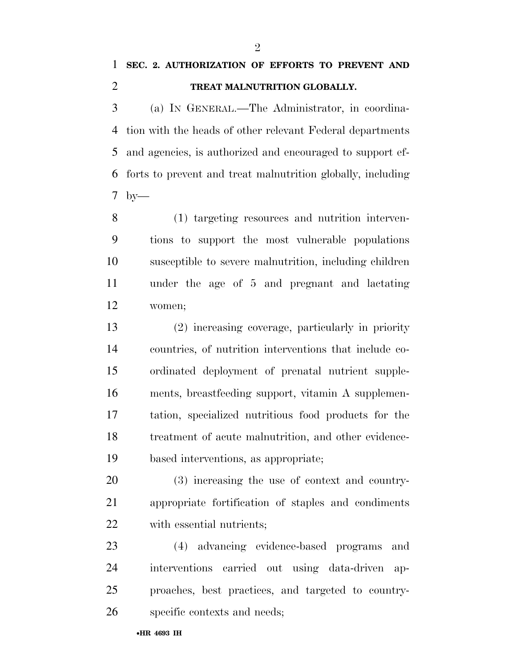## **SEC. 2. AUTHORIZATION OF EFFORTS TO PREVENT AND TREAT MALNUTRITION GLOBALLY.**

 (a) IN GENERAL.—The Administrator, in coordina- tion with the heads of other relevant Federal departments and agencies, is authorized and encouraged to support ef- forts to prevent and treat malnutrition globally, including by—

 (1) targeting resources and nutrition interven- tions to support the most vulnerable populations susceptible to severe malnutrition, including children under the age of 5 and pregnant and lactating women;

 (2) increasing coverage, particularly in priority countries, of nutrition interventions that include co- ordinated deployment of prenatal nutrient supple- ments, breastfeeding support, vitamin A supplemen- tation, specialized nutritious food products for the treatment of acute malnutrition, and other evidence-based interventions, as appropriate;

 (3) increasing the use of context and country- appropriate fortification of staples and condiments with essential nutrients;

 (4) advancing evidence-based programs and interventions carried out using data-driven ap- proaches, best practices, and targeted to country-specific contexts and needs;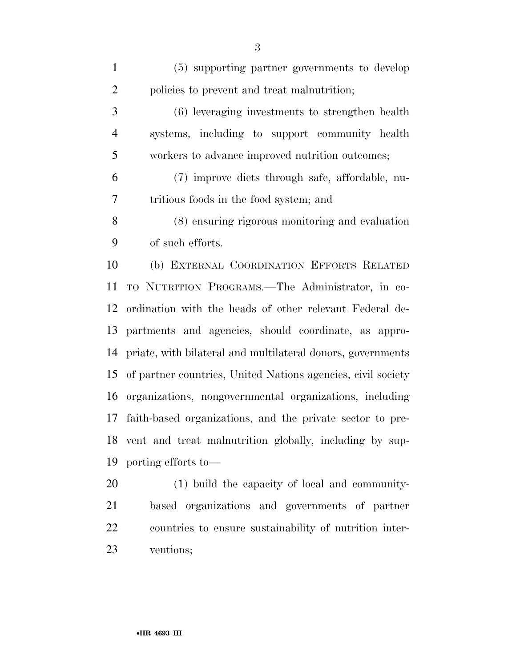(5) supporting partner governments to develop policies to prevent and treat malnutrition; (6) leveraging investments to strengthen health systems, including to support community health workers to advance improved nutrition outcomes; (7) improve diets through safe, affordable, nu- tritious foods in the food system; and (8) ensuring rigorous monitoring and evaluation of such efforts. (b) EXTERNAL COORDINATION EFFORTS RELATED TO NUTRITION PROGRAMS.—The Administrator, in co- ordination with the heads of other relevant Federal de- partments and agencies, should coordinate, as appro- priate, with bilateral and multilateral donors, governments of partner countries, United Nations agencies, civil society organizations, nongovernmental organizations, including faith-based organizations, and the private sector to pre- vent and treat malnutrition globally, including by sup-porting efforts to—

 (1) build the capacity of local and community- based organizations and governments of partner countries to ensure sustainability of nutrition inter-ventions;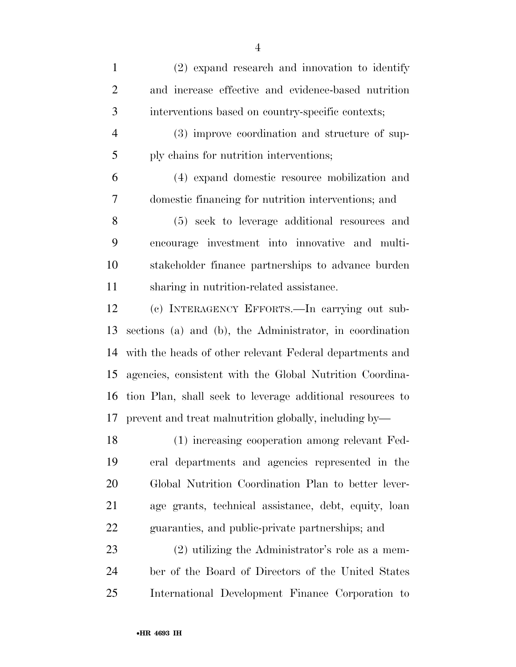(2) expand research and innovation to identify and increase effective and evidence-based nutrition interventions based on country-specific contexts; (3) improve coordination and structure of sup- ply chains for nutrition interventions; (4) expand domestic resource mobilization and domestic financing for nutrition interventions; and (5) seek to leverage additional resources and encourage investment into innovative and multi- stakeholder finance partnerships to advance burden sharing in nutrition-related assistance. (c) INTERAGENCY EFFORTS.—In carrying out sub- sections (a) and (b), the Administrator, in coordination with the heads of other relevant Federal departments and agencies, consistent with the Global Nutrition Coordina- tion Plan, shall seek to leverage additional resources to prevent and treat malnutrition globally, including by— (1) increasing cooperation among relevant Fed- eral departments and agencies represented in the Global Nutrition Coordination Plan to better lever- age grants, technical assistance, debt, equity, loan guaranties, and public-private partnerships; and (2) utilizing the Administrator's role as a mem- ber of the Board of Directors of the United States International Development Finance Corporation to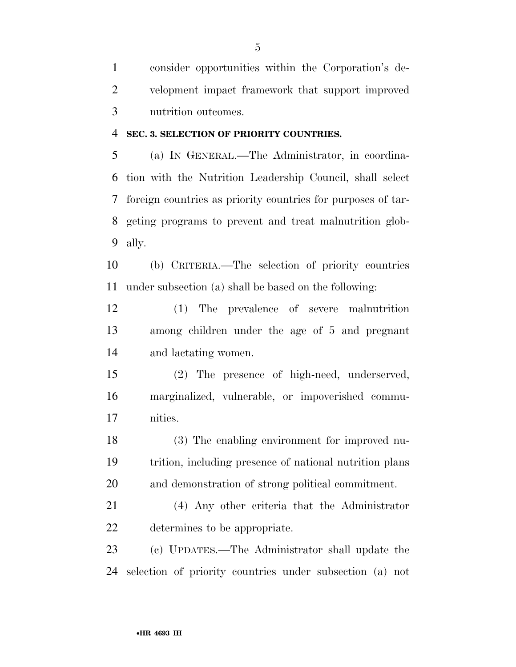consider opportunities within the Corporation's de- velopment impact framework that support improved nutrition outcomes.

### **SEC. 3. SELECTION OF PRIORITY COUNTRIES.**

 (a) IN GENERAL.—The Administrator, in coordina- tion with the Nutrition Leadership Council, shall select foreign countries as priority countries for purposes of tar- geting programs to prevent and treat malnutrition glob-ally.

 (b) CRITERIA.—The selection of priority countries under subsection (a) shall be based on the following:

 (1) The prevalence of severe malnutrition among children under the age of 5 and pregnant and lactating women.

 (2) The presence of high-need, underserved, marginalized, vulnerable, or impoverished commu-nities.

 (3) The enabling environment for improved nu- trition, including presence of national nutrition plans and demonstration of strong political commitment.

 (4) Any other criteria that the Administrator determines to be appropriate.

 (c) UPDATES.—The Administrator shall update the selection of priority countries under subsection (a) not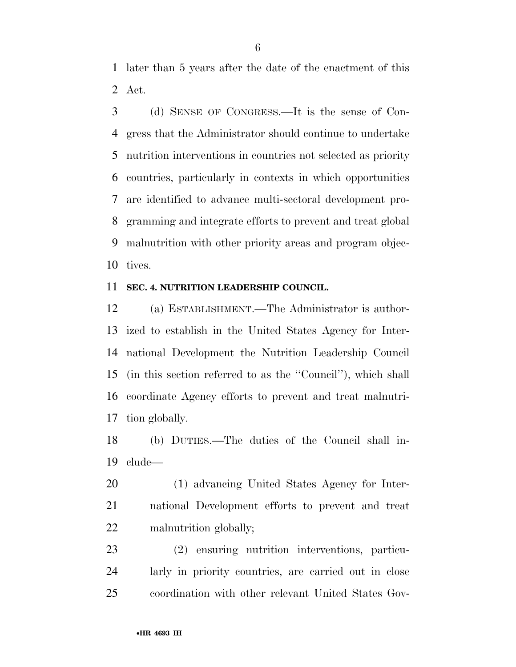later than 5 years after the date of the enactment of this Act.

 (d) SENSE OF CONGRESS.—It is the sense of Con- gress that the Administrator should continue to undertake nutrition interventions in countries not selected as priority countries, particularly in contexts in which opportunities are identified to advance multi-sectoral development pro- gramming and integrate efforts to prevent and treat global malnutrition with other priority areas and program objec-tives.

### **SEC. 4. NUTRITION LEADERSHIP COUNCIL.**

 (a) ESTABLISHMENT.—The Administrator is author- ized to establish in the United States Agency for Inter- national Development the Nutrition Leadership Council (in this section referred to as the ''Council''), which shall coordinate Agency efforts to prevent and treat malnutri-tion globally.

 (b) DUTIES.—The duties of the Council shall in-clude—

 (1) advancing United States Agency for Inter- national Development efforts to prevent and treat malnutrition globally;

 (2) ensuring nutrition interventions, particu- larly in priority countries, are carried out in close coordination with other relevant United States Gov-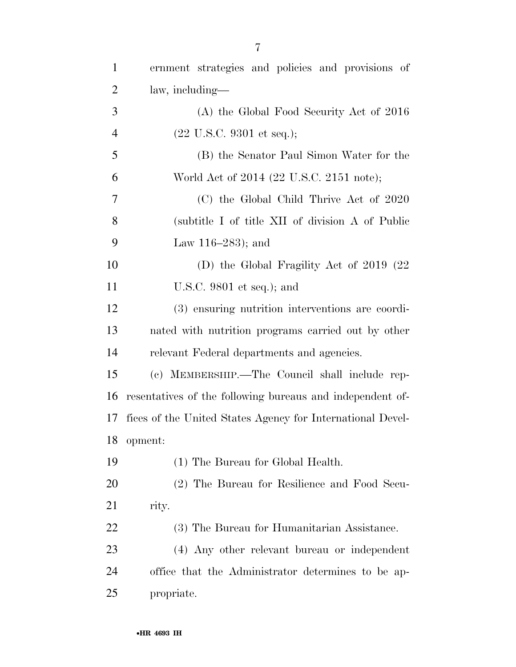| $\mathbf{1}$   | ernment strategies and policies and provisions of          |
|----------------|------------------------------------------------------------|
| $\overline{2}$ | law, including—                                            |
| 3              | (A) the Global Food Security Act of 2016                   |
| $\overline{4}$ | $(22 \text{ U.S.C. } 9301 \text{ et seq.});$               |
| 5              | (B) the Senator Paul Simon Water for the                   |
| 6              | World Act of 2014 (22 U.S.C. 2151 note);                   |
| 7              | (C) the Global Child Thrive Act of 2020                    |
| 8              | (subtitle I of title XII of division A of Public           |
| 9              | Law $116-283$ ; and                                        |
| 10             | (D) the Global Fragility Act of $2019$ (22)                |
| 11             | U.S.C. $9801$ et seq.); and                                |
| 12             | (3) ensuring nutrition interventions are coordi-           |
| 13             | nated with nutrition programs carried out by other         |
| 14             | relevant Federal departments and agencies.                 |
| 15             | (c) MEMBERSHIP.—The Council shall include rep-             |
| 16             | resentatives of the following bureaus and independent of-  |
| 17             | fices of the United States Agency for International Devel- |
| 18             | opment:                                                    |
| 19             | (1) The Bureau for Global Health.                          |
| 20             | (2) The Bureau for Resilience and Food Secu-               |
| 21             | rity.                                                      |
| 22             | (3) The Bureau for Humanitarian Assistance.                |
| 23             | (4) Any other relevant bureau or independent               |
| 24             | office that the Administrator determines to be ap-         |
| 25             | propriate.                                                 |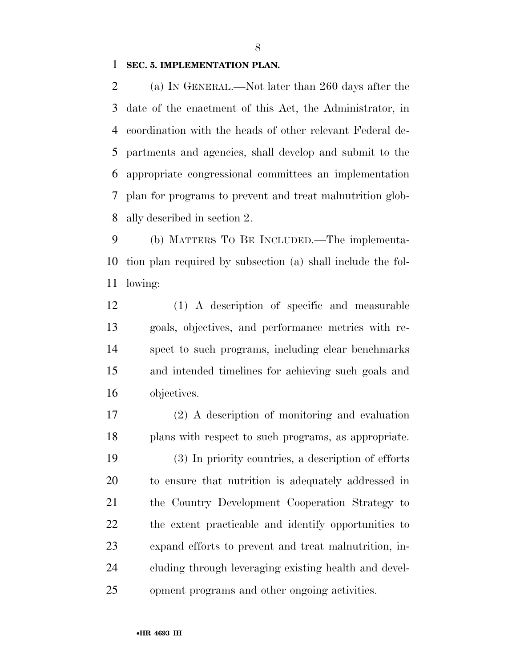### **SEC. 5. IMPLEMENTATION PLAN.**

 (a) IN GENERAL.—Not later than 260 days after the date of the enactment of this Act, the Administrator, in coordination with the heads of other relevant Federal de- partments and agencies, shall develop and submit to the appropriate congressional committees an implementation plan for programs to prevent and treat malnutrition glob-ally described in section 2.

 (b) MATTERS TO BE INCLUDED.—The implementa- tion plan required by subsection (a) shall include the fol-lowing:

 (1) A description of specific and measurable goals, objectives, and performance metrics with re- spect to such programs, including clear benchmarks and intended timelines for achieving such goals and objectives.

 (2) A description of monitoring and evaluation plans with respect to such programs, as appropriate. (3) In priority countries, a description of efforts to ensure that nutrition is adequately addressed in the Country Development Cooperation Strategy to the extent practicable and identify opportunities to expand efforts to prevent and treat malnutrition, in- cluding through leveraging existing health and devel-opment programs and other ongoing activities.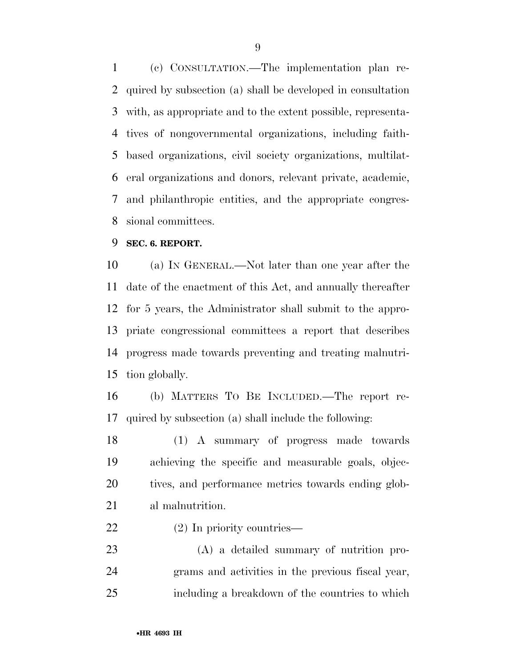(c) CONSULTATION.—The implementation plan re- quired by subsection (a) shall be developed in consultation with, as appropriate and to the extent possible, representa- tives of nongovernmental organizations, including faith- based organizations, civil society organizations, multilat- eral organizations and donors, relevant private, academic, and philanthropic entities, and the appropriate congres-sional committees.

### **SEC. 6. REPORT.**

 (a) IN GENERAL.—Not later than one year after the date of the enactment of this Act, and annually thereafter for 5 years, the Administrator shall submit to the appro- priate congressional committees a report that describes progress made towards preventing and treating malnutri-tion globally.

 (b) MATTERS TO BE INCLUDED.—The report re-quired by subsection (a) shall include the following:

 (1) A summary of progress made towards achieving the specific and measurable goals, objec- tives, and performance metrics towards ending glob-al malnutrition.

(2) In priority countries—

 (A) a detailed summary of nutrition pro- grams and activities in the previous fiscal year, including a breakdown of the countries to which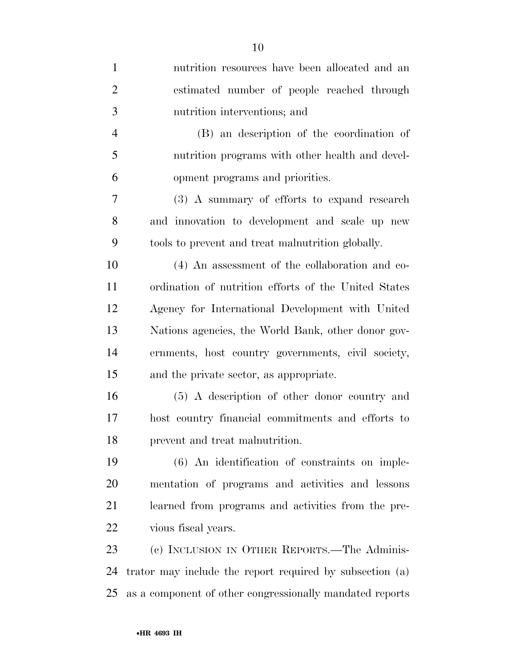| $\mathbf{1}$   | nutrition resources have been allocated and an           |
|----------------|----------------------------------------------------------|
| $\overline{2}$ | estimated number of people reached through               |
| 3              | nutrition interventions; and                             |
| $\overline{4}$ | (B) an description of the coordination of                |
| 5              | nutrition programs with other health and devel-          |
| 6              | opment programs and priorities.                          |
| 7              | (3) A summary of efforts to expand research              |
| 8              | and innovation to development and scale up new           |
| 9              | tools to prevent and treat malnutrition globally.        |
| 10             | (4) An assessment of the collaboration and co-           |
| 11             | ordination of nutrition efforts of the United States     |
| 12             | Agency for International Development with United         |
| 13             | Nations agencies, the World Bank, other donor gov-       |
| 14             | ernments, host country governments, civil society,       |
| 15             | and the private sector, as appropriate.                  |
| 16             | (5) A description of other donor country and             |
| 17             | host country financial commitments and efforts to        |
| 18             | prevent and treat malnutrition.                          |
| 19             | (6) An identification of constraints on imple-           |
| 20             | mentation of programs and activities and lessons         |
| 21             | learned from programs and activities from the pre-       |
| 22             | vious fiscal years.                                      |
| 23             | (c) INCLUSION IN OTHER REPORTS.—The Adminis-             |
| 24             | trator may include the report required by subsection (a) |
| 25             | as a component of other congressionally mandated reports |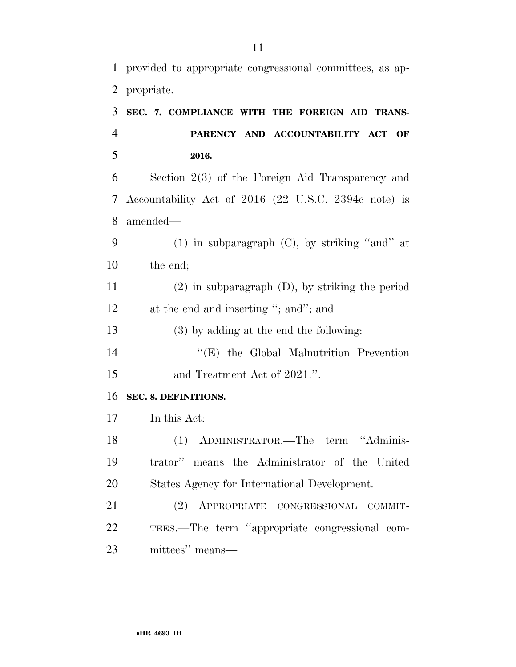provided to appropriate congressional committees, as ap-propriate.

| 3              | SEC. 7. COMPLIANCE WITH THE FOREIGN AID TRANS-              |
|----------------|-------------------------------------------------------------|
| $\overline{4}$ | PARENCY AND ACCOUNTABILITY ACT<br>$\overline{\mathbf{O}}$ F |
| 5              | 2016.                                                       |
| 6              | Section $2(3)$ of the Foreign Aid Transparency and          |
| $\tau$         | Accountability Act of 2016 (22 U.S.C. 2394c note) is        |
| 8              | amended—                                                    |
| 9              | $(1)$ in subparagraph $(C)$ , by striking "and" at          |
| 10             | the end;                                                    |
| 11             | $(2)$ in subparagraph $(D)$ , by striking the period        |
| 12             | at the end and inserting "; and"; and                       |
| 13             | (3) by adding at the end the following:                     |
| 14             | "(E) the Global Malnutrition Prevention                     |
| 15             | and Treatment Act of 2021.".                                |
| 16             | SEC. 8. DEFINITIONS.                                        |
| 17             | In this Act:                                                |
| 18             | (1) ADMINISTRATOR.—The term "Adminis-                       |
| 19             | trator" means the Administrator of the United               |
| 20             | States Agency for International Development.                |
| 21             | (2) APPROPRIATE CONGRESSIONAL COMMIT-                       |
| 22             | TEES.—The term "appropriate congressional com-              |
|                |                                                             |

mittees'' means—